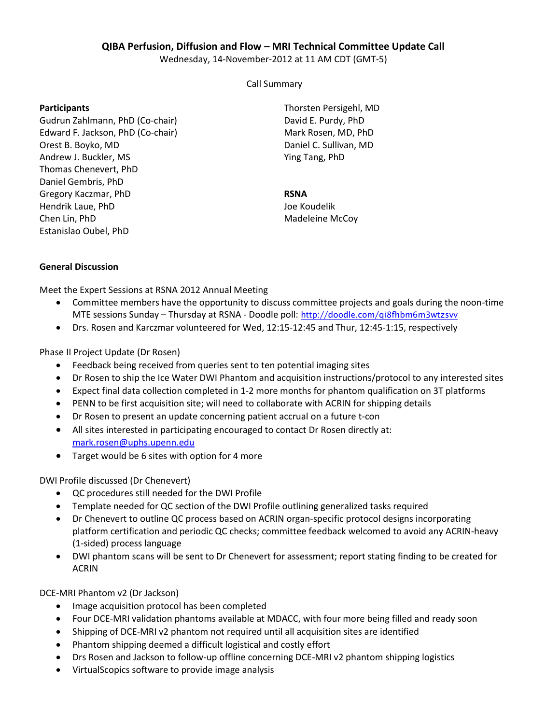## **QIBA Perfusion, Diffusion and Flow – MRI Technical Committee Update Call**

Wednesday, 14-November-2012 at 11 AM CDT (GMT-5)

Call Summary

## **Participants**

Gudrun Zahlmann, PhD (Co-chair) Edward F. Jackson, PhD (Co-chair) Orest B. Boyko, MD Andrew J. Buckler, MS Thomas Chenevert, PhD Daniel Gembris, PhD Gregory Kaczmar, PhD Hendrik Laue, PhD Chen Lin, PhD Estanislao Oubel, PhD

Thorsten Persigehl, MD David E. Purdy, PhD Mark Rosen, MD, PhD Daniel C. Sullivan, MD Ying Tang, PhD

## **RSNA**

Joe Koudelik Madeleine McCoy

## **General Discussion**

Meet the Expert Sessions at RSNA 2012 Annual Meeting

- Committee members have the opportunity to discuss committee projects and goals during the noon-time MTE sessions Sunday – Thursday at RSNA - Doodle poll: <http://doodle.com/qi8fhbm6m3wtzsvv>
- Drs. Rosen and Karczmar volunteered for Wed, 12:15-12:45 and Thur, 12:45-1:15, respectively

Phase II Project Update (Dr Rosen)

- Feedback being received from queries sent to ten potential imaging sites
- Dr Rosen to ship the Ice Water DWI Phantom and acquisition instructions/protocol to any interested sites
- Expect final data collection completed in 1-2 more months for phantom qualification on 3T platforms
- PENN to be first acquisition site; will need to collaborate with ACRIN for shipping details
- Dr Rosen to present an update concerning patient accrual on a future t-con
- All sites interested in participating encouraged to contact Dr Rosen directly at: [mark.rosen@uphs.upenn.edu](mailto:mark.rosen@uphs.upenn.edu)
- Target would be 6 sites with option for 4 more

DWI Profile discussed (Dr Chenevert)

- QC procedures still needed for the DWI Profile
- Template needed for QC section of the DWI Profile outlining generalized tasks required
- Dr Chenevert to outline QC process based on ACRIN organ-specific protocol designs incorporating platform certification and periodic QC checks; committee feedback welcomed to avoid any ACRIN-heavy (1-sided) process language
- DWI phantom scans will be sent to Dr Chenevert for assessment; report stating finding to be created for ACRIN

DCE-MRI Phantom v2 (Dr Jackson)

- Image acquisition protocol has been completed
- Four DCE-MRI validation phantoms available at MDACC, with four more being filled and ready soon
- Shipping of DCE-MRI v2 phantom not required until all acquisition sites are identified
- Phantom shipping deemed a difficult logistical and costly effort
- Drs Rosen and Jackson to follow-up offline concerning DCE-MRI v2 phantom shipping logistics
- VirtualScopics software to provide image analysis